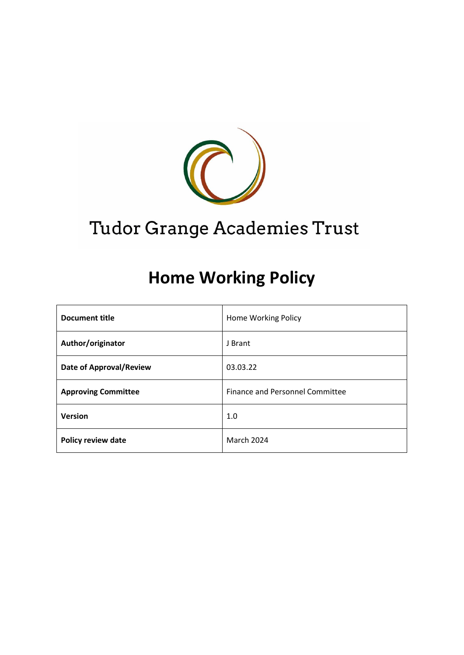

# Tudor Grange Academies Trust

# **Home Working Policy**

| <b>Document title</b>          | Home Working Policy                    |  |
|--------------------------------|----------------------------------------|--|
| Author/originator              | J Brant                                |  |
| <b>Date of Approval/Review</b> | 03.03.22                               |  |
| <b>Approving Committee</b>     | <b>Finance and Personnel Committee</b> |  |
| <b>Version</b>                 | 1.0                                    |  |
| <b>Policy review date</b>      | <b>March 2024</b>                      |  |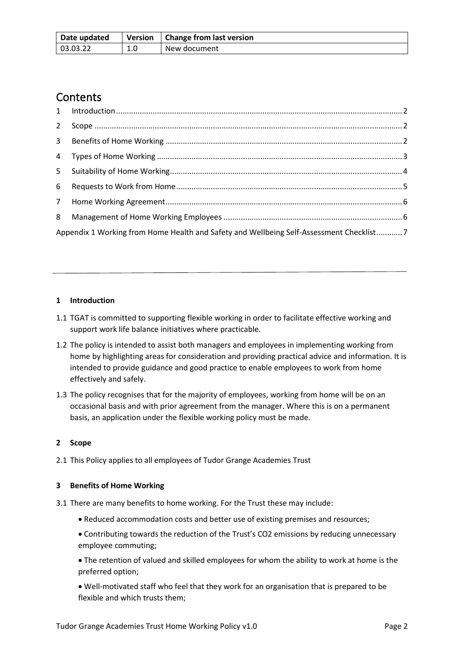| Date updated | <b>Version</b> | Change from last version |
|--------------|----------------|--------------------------|
| 03.03.22     | ⊥.0            | New document             |

# **Contents**

| Appendix 1 Working from Home Health and Safety and Wellbeing Self-Assessment Checklist7 |  |
|-----------------------------------------------------------------------------------------|--|

# <span id="page-1-0"></span>**1 Introduction**

- 1.1 TGAT is committed to supporting flexible working in order to facilitate effective working and support work life balance initiatives where practicable.
- 1.2 The policy is intended to assist both managers and employees in implementing working from home by highlighting areas for consideration and providing practical advice and information. It is intended to provide guidance and good practice to enable employees to work from home effectively and safely.
- 1.3 The policy recognises that for the majority of employees, working from home will be on an occasional basis and with prior agreement from the manager. Where this is on a permanent basis, an application under the flexible working policy must be made.

# <span id="page-1-1"></span>**2 Scope**

2.1 This Policy applies to all employees of Tudor Grange Academies Trust

# <span id="page-1-2"></span>**3 Benefits of Home Working**

- 3.1 There are many benefits to home working. For the Trust these may include:
	- Reduced accommodation costs and better use of existing premises and resources;

• Contributing towards the reduction of the Trust's CO2 emissions by reducing unnecessary employee commuting;

• The retention of valued and skilled employees for whom the ability to work at home is the preferred option;

• Well-motivated staff who feel that they work for an organisation that is prepared to be flexible and which trusts them;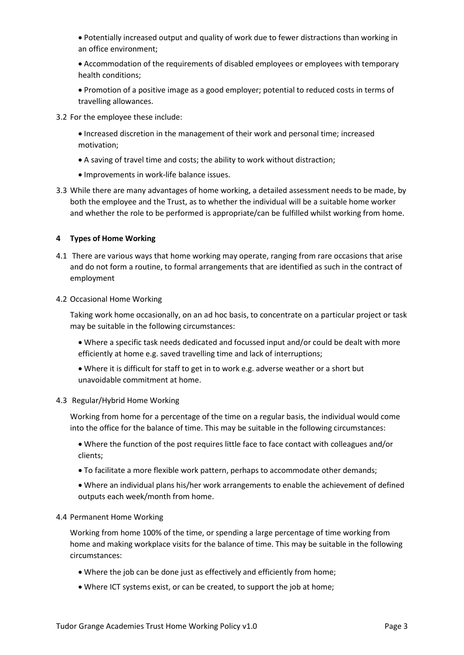• Potentially increased output and quality of work due to fewer distractions than working in an office environment;

- Accommodation of the requirements of disabled employees or employees with temporary health conditions;
- Promotion of a positive image as a good employer; potential to reduced costs in terms of travelling allowances.
- 3.2 For the employee these include:
	- Increased discretion in the management of their work and personal time; increased motivation;
	- A saving of travel time and costs; the ability to work without distraction;
	- Improvements in work-life balance issues.
- 3.3 While there are many advantages of home working, a detailed assessment needs to be made, by both the employee and the Trust, as to whether the individual will be a suitable home worker and whether the role to be performed is appropriate/can be fulfilled whilst working from home.

# <span id="page-2-0"></span>**4 Types of Home Working**

4.1 There are various ways that home working may operate, ranging from rare occasions that arise and do not form a routine, to formal arrangements that are identified as such in the contract of employment

#### 4.2 Occasional Home Working

Taking work home occasionally, on an ad hoc basis, to concentrate on a particular project or task may be suitable in the following circumstances:

- Where a specific task needs dedicated and focussed input and/or could be dealt with more efficiently at home e.g. saved travelling time and lack of interruptions;
- Where it is difficult for staff to get in to work e.g. adverse weather or a short but unavoidable commitment at home.

### 4.3 Regular/Hybrid Home Working

Working from home for a percentage of the time on a regular basis, the individual would come into the office for the balance of time. This may be suitable in the following circumstances:

• Where the function of the post requires little face to face contact with colleagues and/or clients;

- To facilitate a more flexible work pattern, perhaps to accommodate other demands;
- Where an individual plans his/her work arrangements to enable the achievement of defined outputs each week/month from home.

#### 4.4 Permanent Home Working

Working from home 100% of the time, or spending a large percentage of time working from home and making workplace visits for the balance of time. This may be suitable in the following circumstances:

- Where the job can be done just as effectively and efficiently from home;
- Where ICT systems exist, or can be created, to support the job at home;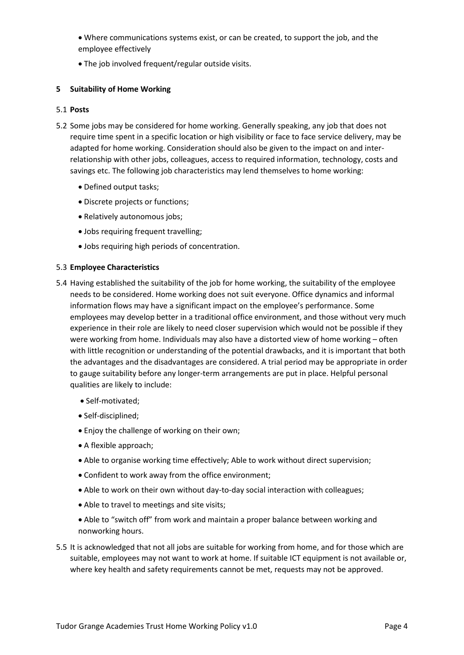• Where communications systems exist, or can be created, to support the job, and the employee effectively

• The job involved frequent/regular outside visits.

# <span id="page-3-0"></span>**5 Suitability of Home Working**

# 5.1 **Posts**

- 5.2 Some jobs may be considered for home working. Generally speaking, any job that does not require time spent in a specific location or high visibility or face to face service delivery, may be adapted for home working. Consideration should also be given to the impact on and interrelationship with other jobs, colleagues, access to required information, technology, costs and savings etc. The following job characteristics may lend themselves to home working:
	- Defined output tasks;
	- Discrete projects or functions;
	- Relatively autonomous jobs;
	- Jobs requiring frequent travelling;
	- Jobs requiring high periods of concentration.

# 5.3 **Employee Characteristics**

- 5.4 Having established the suitability of the job for home working, the suitability of the employee needs to be considered. Home working does not suit everyone. Office dynamics and informal information flows may have a significant impact on the employee's performance. Some employees may develop better in a traditional office environment, and those without very much experience in their role are likely to need closer supervision which would not be possible if they were working from home. Individuals may also have a distorted view of home working – often with little recognition or understanding of the potential drawbacks, and it is important that both the advantages and the disadvantages are considered. A trial period may be appropriate in order to gauge suitability before any longer-term arrangements are put in place. Helpful personal qualities are likely to include:
	- Self-motivated;
	- Self-disciplined;
	- Enjoy the challenge of working on their own;
	- A flexible approach;
	- Able to organise working time effectively; Able to work without direct supervision;
	- Confident to work away from the office environment;
	- Able to work on their own without day-to-day social interaction with colleagues;
	- Able to travel to meetings and site visits;
	- Able to "switch off" from work and maintain a proper balance between working and nonworking hours.
- 5.5 It is acknowledged that not all jobs are suitable for working from home, and for those which are suitable, employees may not want to work at home. If suitable ICT equipment is not available or, where key health and safety requirements cannot be met, requests may not be approved.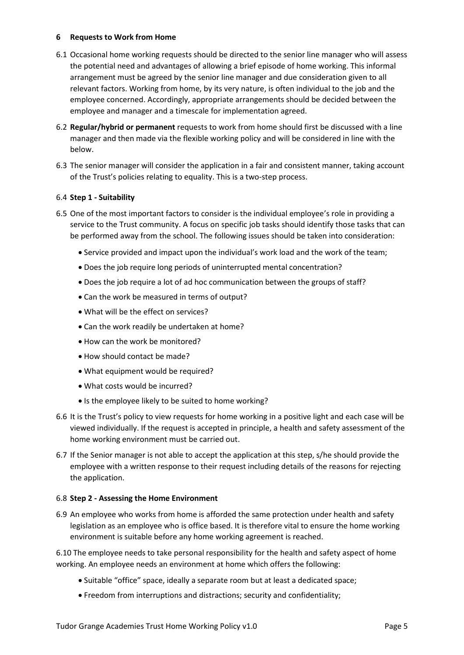### <span id="page-4-0"></span>**6 Requests to Work from Home**

- 6.1 Occasional home working requests should be directed to the senior line manager who will assess the potential need and advantages of allowing a brief episode of home working. This informal arrangement must be agreed by the senior line manager and due consideration given to all relevant factors. Working from home, by its very nature, is often individual to the job and the employee concerned. Accordingly, appropriate arrangements should be decided between the employee and manager and a timescale for implementation agreed.
- 6.2 **Regular/hybrid or permanent** requests to work from home should first be discussed with a line manager and then made via the flexible working policy and will be considered in line with the below.
- 6.3 The senior manager will consider the application in a fair and consistent manner, taking account of the Trust's policies relating to equality. This is a two-step process.

# 6.4 **Step 1 - Suitability**

- 6.5 One of the most important factors to consider is the individual employee's role in providing a service to the Trust community. A focus on specific job tasks should identify those tasks that can be performed away from the school. The following issues should be taken into consideration:
	- Service provided and impact upon the individual's work load and the work of the team;
	- Does the job require long periods of uninterrupted mental concentration?
	- Does the job require a lot of ad hoc communication between the groups of staff?
	- Can the work be measured in terms of output?
	- What will be the effect on services?
	- Can the work readily be undertaken at home?
	- How can the work be monitored?
	- How should contact be made?
	- What equipment would be required?
	- What costs would be incurred?
	- Is the employee likely to be suited to home working?
- 6.6 It is the Trust's policy to view requests for home working in a positive light and each case will be viewed individually. If the request is accepted in principle, a health and safety assessment of the home working environment must be carried out.
- 6.7 If the Senior manager is not able to accept the application at this step, s/he should provide the employee with a written response to their request including details of the reasons for rejecting the application.

### 6.8 **Step 2 - Assessing the Home Environment**

6.9 An employee who works from home is afforded the same protection under health and safety legislation as an employee who is office based. It is therefore vital to ensure the home working environment is suitable before any home working agreement is reached.

6.10 The employee needs to take personal responsibility for the health and safety aspect of home working. An employee needs an environment at home which offers the following:

- Suitable "office" space, ideally a separate room but at least a dedicated space;
- Freedom from interruptions and distractions; security and confidentiality;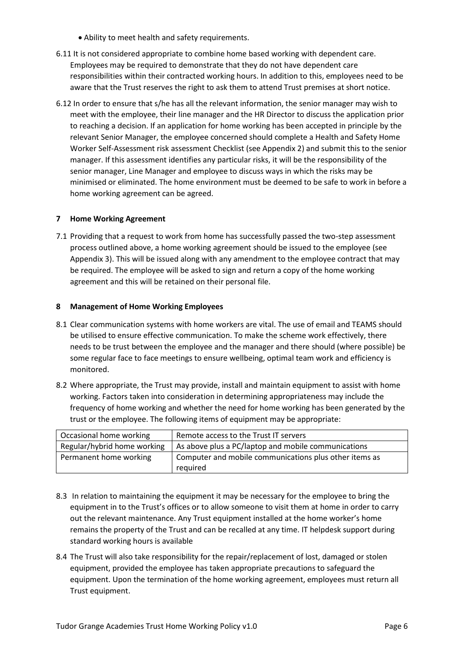- Ability to meet health and safety requirements.
- 6.11 It is not considered appropriate to combine home based working with dependent care. Employees may be required to demonstrate that they do not have dependent care responsibilities within their contracted working hours. In addition to this, employees need to be aware that the Trust reserves the right to ask them to attend Trust premises at short notice.
- 6.12 In order to ensure that s/he has all the relevant information, the senior manager may wish to meet with the employee, their line manager and the HR Director to discuss the application prior to reaching a decision. If an application for home working has been accepted in principle by the relevant Senior Manager, the employee concerned should complete a Health and Safety Home Worker Self-Assessment risk assessment Checklist (see Appendix 2) and submit this to the senior manager. If this assessment identifies any particular risks, it will be the responsibility of the senior manager, Line Manager and employee to discuss ways in which the risks may be minimised or eliminated. The home environment must be deemed to be safe to work in before a home working agreement can be agreed.

# <span id="page-5-0"></span>**7 Home Working Agreement**

7.1 Providing that a request to work from home has successfully passed the two-step assessment process outlined above, a home working agreement should be issued to the employee (see Appendix 3). This will be issued along with any amendment to the employee contract that may be required. The employee will be asked to sign and return a copy of the home working agreement and this will be retained on their personal file.

### <span id="page-5-1"></span>**8 Management of Home Working Employees**

- 8.1 Clear communication systems with home workers are vital. The use of email and TEAMS should be utilised to ensure effective communication. To make the scheme work effectively, there needs to be trust between the employee and the manager and there should (where possible) be some regular face to face meetings to ensure wellbeing, optimal team work and efficiency is monitored.
- 8.2 Where appropriate, the Trust may provide, install and maintain equipment to assist with home working. Factors taken into consideration in determining appropriateness may include the frequency of home working and whether the need for home working has been generated by the trust or the employee. The following items of equipment may be appropriate:

| Occasional home working     | Remote access to the Trust IT servers                  |
|-----------------------------|--------------------------------------------------------|
| Regular/hybrid home working | As above plus a PC/laptop and mobile communications    |
| Permanent home working      | Computer and mobile communications plus other items as |
|                             | required                                               |

- 8.3 In relation to maintaining the equipment it may be necessary for the employee to bring the equipment in to the Trust's offices or to allow someone to visit them at home in order to carry out the relevant maintenance. Any Trust equipment installed at the home worker's home remains the property of the Trust and can be recalled at any time. IT helpdesk support during standard working hours is available
- 8.4 The Trust will also take responsibility for the repair/replacement of lost, damaged or stolen equipment, provided the employee has taken appropriate precautions to safeguard the equipment. Upon the termination of the home working agreement, employees must return all Trust equipment.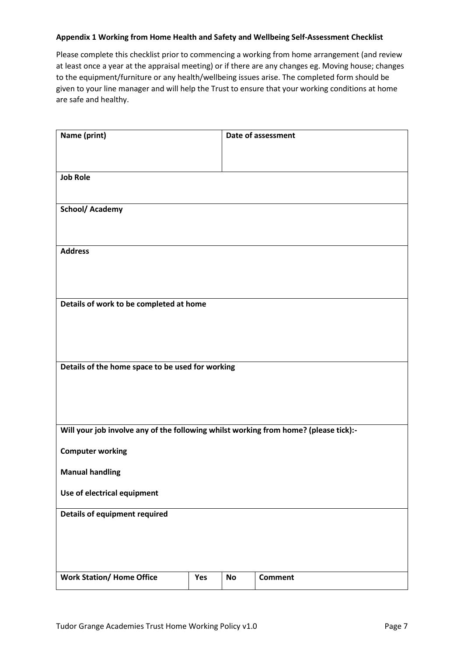### <span id="page-6-0"></span>**Appendix 1 Working from Home Health and Safety and Wellbeing Self-Assessment Checklist**

Please complete this checklist prior to commencing a working from home arrangement (and review at least once a year at the appraisal meeting) or if there are any changes eg. Moving house; changes to the equipment/furniture or any health/wellbeing issues arise. The completed form should be given to your line manager and will help the Trust to ensure that your working conditions at home are safe and healthy.

| Name (print)                                                                         |     |           | Date of assessment |
|--------------------------------------------------------------------------------------|-----|-----------|--------------------|
|                                                                                      |     |           |                    |
| <b>Job Role</b>                                                                      |     |           |                    |
| <b>School/ Academy</b>                                                               |     |           |                    |
|                                                                                      |     |           |                    |
| <b>Address</b>                                                                       |     |           |                    |
|                                                                                      |     |           |                    |
|                                                                                      |     |           |                    |
| Details of work to be completed at home                                              |     |           |                    |
|                                                                                      |     |           |                    |
|                                                                                      |     |           |                    |
| Details of the home space to be used for working                                     |     |           |                    |
|                                                                                      |     |           |                    |
|                                                                                      |     |           |                    |
| Will your job involve any of the following whilst working from home? (please tick):- |     |           |                    |
| <b>Computer working</b>                                                              |     |           |                    |
| <b>Manual handling</b>                                                               |     |           |                    |
| Use of electrical equipment                                                          |     |           |                    |
| <b>Details of equipment required</b>                                                 |     |           |                    |
|                                                                                      |     |           |                    |
|                                                                                      |     |           |                    |
| <b>Work Station/ Home Office</b>                                                     | Yes | <b>No</b> | <b>Comment</b>     |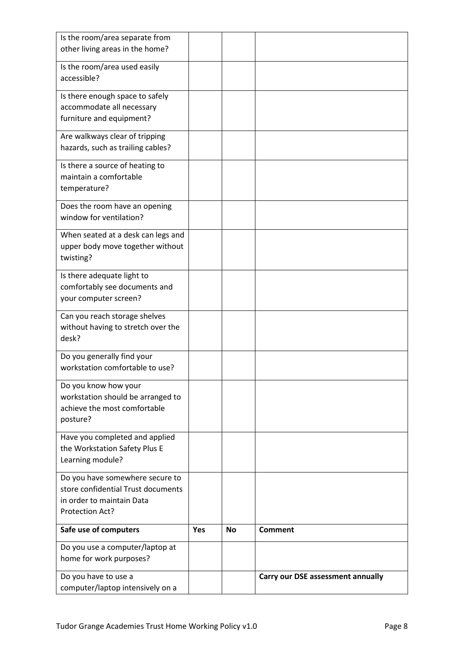| Is the room/area separate from<br>other living areas in the home?                                                     |     |           |                                   |
|-----------------------------------------------------------------------------------------------------------------------|-----|-----------|-----------------------------------|
| Is the room/area used easily<br>accessible?                                                                           |     |           |                                   |
| Is there enough space to safely<br>accommodate all necessary<br>furniture and equipment?                              |     |           |                                   |
| Are walkways clear of tripping<br>hazards, such as trailing cables?                                                   |     |           |                                   |
| Is there a source of heating to<br>maintain a comfortable<br>temperature?                                             |     |           |                                   |
| Does the room have an opening<br>window for ventilation?                                                              |     |           |                                   |
| When seated at a desk can legs and<br>upper body move together without<br>twisting?                                   |     |           |                                   |
| Is there adequate light to<br>comfortably see documents and<br>your computer screen?                                  |     |           |                                   |
| Can you reach storage shelves<br>without having to stretch over the<br>desk?                                          |     |           |                                   |
| Do you generally find your<br>workstation comfortable to use?                                                         |     |           |                                   |
| Do you know how your<br>workstation should be arranged to<br>achieve the most comfortable<br>posture?                 |     |           |                                   |
| Have you completed and applied<br>the Workstation Safety Plus E<br>Learning module?                                   |     |           |                                   |
| Do you have somewhere secure to<br>store confidential Trust documents<br>in order to maintain Data<br>Protection Act? |     |           |                                   |
| Safe use of computers                                                                                                 | Yes | <b>No</b> | <b>Comment</b>                    |
| Do you use a computer/laptop at<br>home for work purposes?                                                            |     |           |                                   |
| Do you have to use a<br>computer/laptop intensively on a                                                              |     |           | Carry our DSE assessment annually |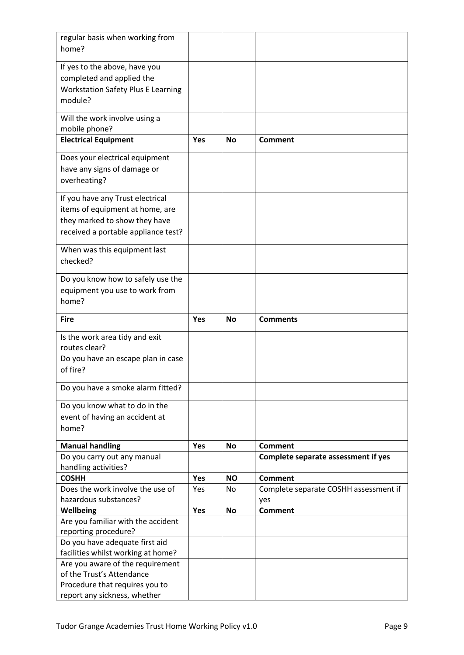| regular basis when working from<br>home?                   |            |           |                                       |
|------------------------------------------------------------|------------|-----------|---------------------------------------|
|                                                            |            |           |                                       |
| If yes to the above, have you                              |            |           |                                       |
| completed and applied the                                  |            |           |                                       |
| <b>Workstation Safety Plus E Learning</b>                  |            |           |                                       |
| module?                                                    |            |           |                                       |
| Will the work involve using a                              |            |           |                                       |
| mobile phone?                                              |            |           |                                       |
| <b>Electrical Equipment</b>                                | Yes        | <b>No</b> | <b>Comment</b>                        |
| Does your electrical equipment                             |            |           |                                       |
| have any signs of damage or                                |            |           |                                       |
| overheating?                                               |            |           |                                       |
| If you have any Trust electrical                           |            |           |                                       |
| items of equipment at home, are                            |            |           |                                       |
| they marked to show they have                              |            |           |                                       |
| received a portable appliance test?                        |            |           |                                       |
| When was this equipment last                               |            |           |                                       |
| checked?                                                   |            |           |                                       |
| Do you know how to safely use the                          |            |           |                                       |
| equipment you use to work from                             |            |           |                                       |
| home?                                                      |            |           |                                       |
| <b>Fire</b>                                                | <b>Yes</b> | <b>No</b> | <b>Comments</b>                       |
|                                                            |            |           |                                       |
| Is the work area tidy and exit                             |            |           |                                       |
| routes clear?                                              |            |           |                                       |
| Do you have an escape plan in case<br>of fire?             |            |           |                                       |
|                                                            |            |           |                                       |
| Do you have a smoke alarm fitted?                          |            |           |                                       |
| Do you know what to do in the                              |            |           |                                       |
| event of having an accident at                             |            |           |                                       |
| home?                                                      |            |           |                                       |
| <b>Manual handling</b>                                     | Yes        | <b>No</b> | <b>Comment</b>                        |
| Do you carry out any manual                                |            |           | Complete separate assessment if yes   |
| handling activities?                                       |            |           |                                       |
| <b>COSHH</b>                                               | Yes        | <b>NO</b> | <b>Comment</b>                        |
| Does the work involve the use of                           | Yes        | No.       | Complete separate COSHH assessment if |
| hazardous substances?                                      |            |           | yes                                   |
| Wellbeing                                                  | Yes        | <b>No</b> | <b>Comment</b>                        |
| Are you familiar with the accident<br>reporting procedure? |            |           |                                       |
| Do you have adequate first aid                             |            |           |                                       |
| facilities whilst working at home?                         |            |           |                                       |
| Are you aware of the requirement                           |            |           |                                       |
| of the Trust's Attendance                                  |            |           |                                       |
| Procedure that requires you to                             |            |           |                                       |
|                                                            |            |           |                                       |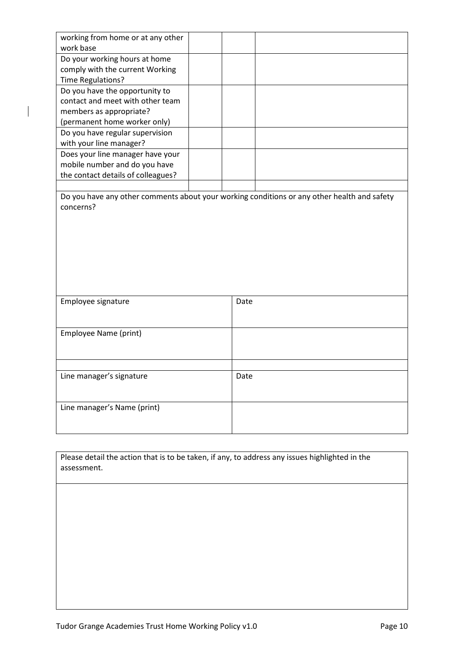| working from home or at any other<br>work base |                                                                                             |
|------------------------------------------------|---------------------------------------------------------------------------------------------|
| Do your working hours at home                  |                                                                                             |
| comply with the current Working                |                                                                                             |
| Time Regulations?                              |                                                                                             |
| Do you have the opportunity to                 |                                                                                             |
| contact and meet with other team               |                                                                                             |
| members as appropriate?                        |                                                                                             |
| (permanent home worker only)                   |                                                                                             |
| Do you have regular supervision                |                                                                                             |
| with your line manager?                        |                                                                                             |
| Does your line manager have your               |                                                                                             |
| mobile number and do you have                  |                                                                                             |
| the contact details of colleagues?             |                                                                                             |
|                                                |                                                                                             |
|                                                | Do you have any other comments about your working conditions or any other health and safety |
| concerns?                                      |                                                                                             |
|                                                |                                                                                             |
|                                                |                                                                                             |
|                                                |                                                                                             |
|                                                |                                                                                             |
|                                                |                                                                                             |
|                                                |                                                                                             |
|                                                |                                                                                             |
|                                                |                                                                                             |
| Employee signature                             | Date                                                                                        |
|                                                |                                                                                             |
|                                                |                                                                                             |
| Employee Name (print)                          |                                                                                             |
|                                                |                                                                                             |
|                                                |                                                                                             |
|                                                |                                                                                             |
| Line manager's signature                       | Date                                                                                        |
|                                                |                                                                                             |
|                                                |                                                                                             |
|                                                |                                                                                             |
| Line manager's Name (print)                    |                                                                                             |
|                                                |                                                                                             |

Please detail the action that is to be taken, if any, to address any issues highlighted in the assessment.